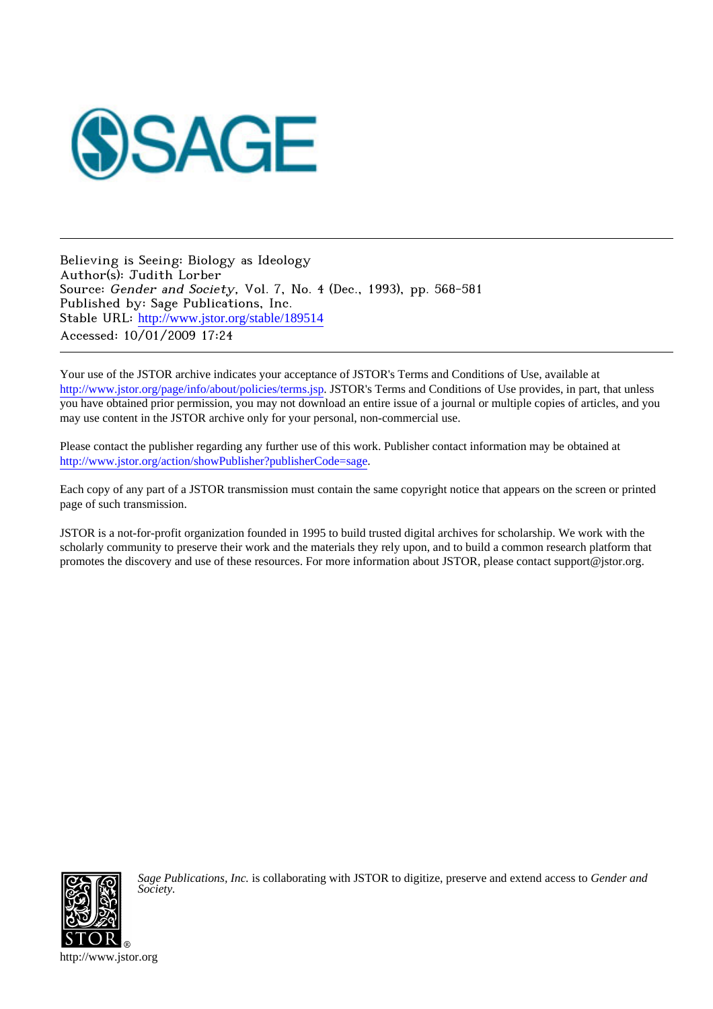

Believing is Seeing: Biology as Ideology Author(s): Judith Lorber Source: Gender and Society, Vol. 7, No. 4 (Dec., 1993), pp. 568-581 Published by: Sage Publications, Inc. Stable URL: [http://www.jstor.org/stable/189514](http://www.jstor.org/stable/189514?origin=JSTOR-pdf) Accessed: 10/01/2009 17:24

Your use of the JSTOR archive indicates your acceptance of JSTOR's Terms and Conditions of Use, available at <http://www.jstor.org/page/info/about/policies/terms.jsp>. JSTOR's Terms and Conditions of Use provides, in part, that unless you have obtained prior permission, you may not download an entire issue of a journal or multiple copies of articles, and you may use content in the JSTOR archive only for your personal, non-commercial use.

Please contact the publisher regarding any further use of this work. Publisher contact information may be obtained at [http://www.jstor.org/action/showPublisher?publisherCode=sage.](http://www.jstor.org/action/showPublisher?publisherCode=sage)

Each copy of any part of a JSTOR transmission must contain the same copyright notice that appears on the screen or printed page of such transmission.

JSTOR is a not-for-profit organization founded in 1995 to build trusted digital archives for scholarship. We work with the scholarly community to preserve their work and the materials they rely upon, and to build a common research platform that promotes the discovery and use of these resources. For more information about JSTOR, please contact support@jstor.org.



*Sage Publications, Inc.* is collaborating with JSTOR to digitize, preserve and extend access to *Gender and Society.*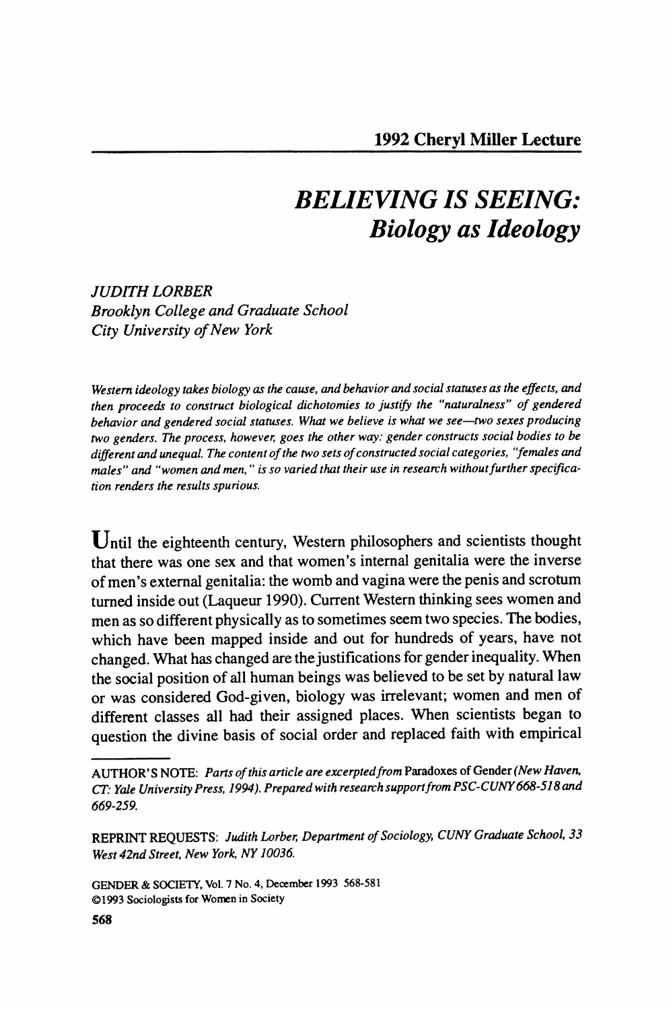# **BELIEVING IS SEEING: Biology as Ideology**

## **JUDITH LORBER Brooklyn College and Graduate School City University of New York**

**Western ideology takes biology as the cause, and behavior and social statuses as the effects, and then proceeds to construct biological dichotomies to justify the "naturalness" of gendered behavior and gendered social statuses. What we believe is what we see-two sexes producing two genders. The process, however, goes the other way: gender constructs social bodies to be different and unequal. The content of the two sets of constructed social categories, 'females and**  males" and "women and men," is so varied that their use in research without further specifica**tion renders the results spurious.** 

Until the eighteenth century, Western philosophers and scientists thought **that there was one sex and that women's internal genitalia were the inverse of men's external genitalia: the womb and vagina were the penis and scrotum turned inside out (Laqueur 1990). Current Western thinking sees women and men as so different physically as to sometimes seem two species. The bodies, which have been mapped inside and out for hundreds of years, have not changed. What has changed are the justifications for gender inequality. When the social position of all human beings was believed to be set by natural law or was considered God-given, biology was irrelevant; women and men of different classes all had their assigned places. When scientists began to question the divine basis of social order and replaced faith with empirical** 

**AUTHOR'S NOTE: Parts of this article are excerptedfrom Paradoxes of Gender (New Haven, CT: Yale University Press, 1994). Prepared with research supportfrom PSC-CUNY668-518 and 669-259.** 

**REPRINT REQUESTS: Judith Lorber, Department of Sociology, CUNY Graduate School, 33 West 42nd Street, New York, NY 10036.** 

**GENDER & SOCIETY, Vol. 7 No. 4, December 1993 568-581 ?1993 Sociologists for Women in Society**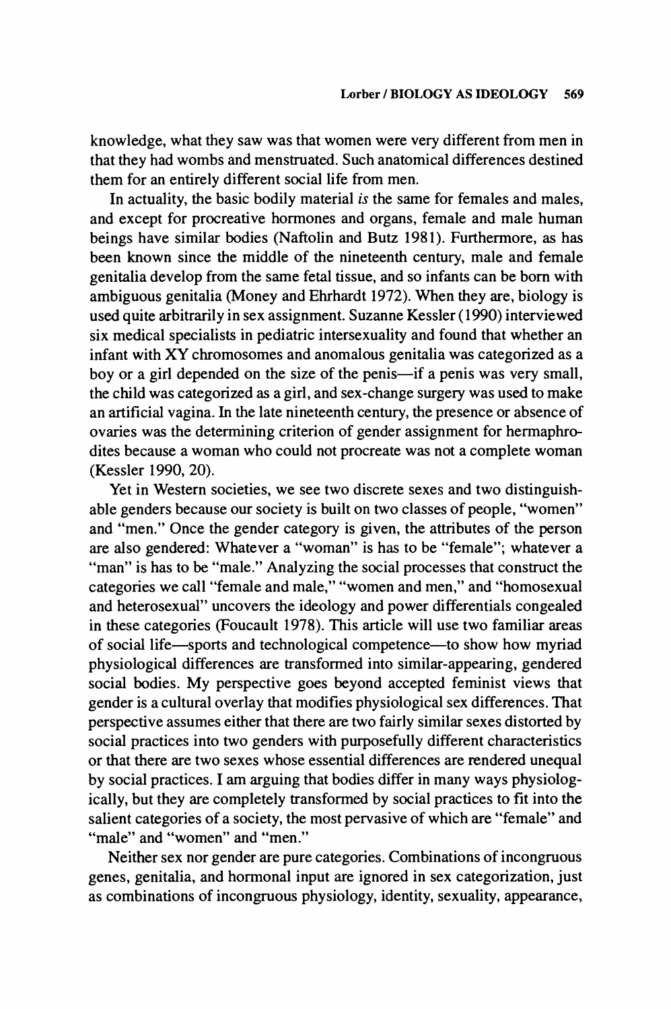**knowledge, what they saw was that women were very different from men in that they had wombs and menstruated. Such anatomical differences destined them for an entirely different social life from men.** 

**In actuality, the basic bodily material is the same for females and males, and except for procreative hormones and organs, female and male human beings have similar bodies (Naftolin and Butz 1981). Furthermore, as has been known since the middle of the nineteenth century, male and female genitalia develop from the same fetal tissue, and so infants can be born with ambiguous genitalia (Money and Ehrhardt 1972). When they are, biology is used quite arbitrarily in sex assignment. Suzanne Kessler (1990) interviewed six medical specialists in pediatric intersexuality and found that whether an infant with XY chromosomes and anomalous genitalia was categorized as a**  boy or a girl depended on the size of the penis-if a penis was very small, **the child was categorized as a girl, and sex-change surgery was used to make an artificial vagina. In the late nineteenth century, the presence or absence of ovaries was the determining criterion of gender assignment for hermaphrodites because a woman who could not procreate was not a complete woman (Kessler 1990, 20).** 

**Yet in Western societies, we see two discrete sexes and two distinguishable genders because our society is built on two classes of people, "women" and "men." Once the gender category is given, the attributes of the person are also gendered: Whatever a "woman" is has to be "female"; whatever a "man" is has to be "male." Analyzing the social processes that construct the categories we call "female and male," "women and men," and "homosexual and heterosexual" uncovers the ideology and power differentials congealed in these categories (Foucault 1978). This article will use two familiar areas of social life-sports and technological competence-to show how myriad physiological differences are transformed into similar-appearing, gendered social bodies. My perspective goes beyond accepted feminist views that gender is a cultural overlay that modifies physiological sex differences. That perspective assumes either that there are two fairly similar sexes distorted by social practices into two genders with purposefully different characteristics or that there are two sexes whose essential differences are rendered unequal by social practices. I am arguing that bodies differ in many ways physiologically, but they are completely transformed by social practices to fit into the salient categories of a society, the most pervasive of which are "female" and "male" and "women" and "men."** 

**Neither sex nor gender are pure categories. Combinations of incongruous genes, genitalia, and hormonal input are ignored in sex categorization, just as combinations of incongruous physiology, identity, sexuality, appearance,**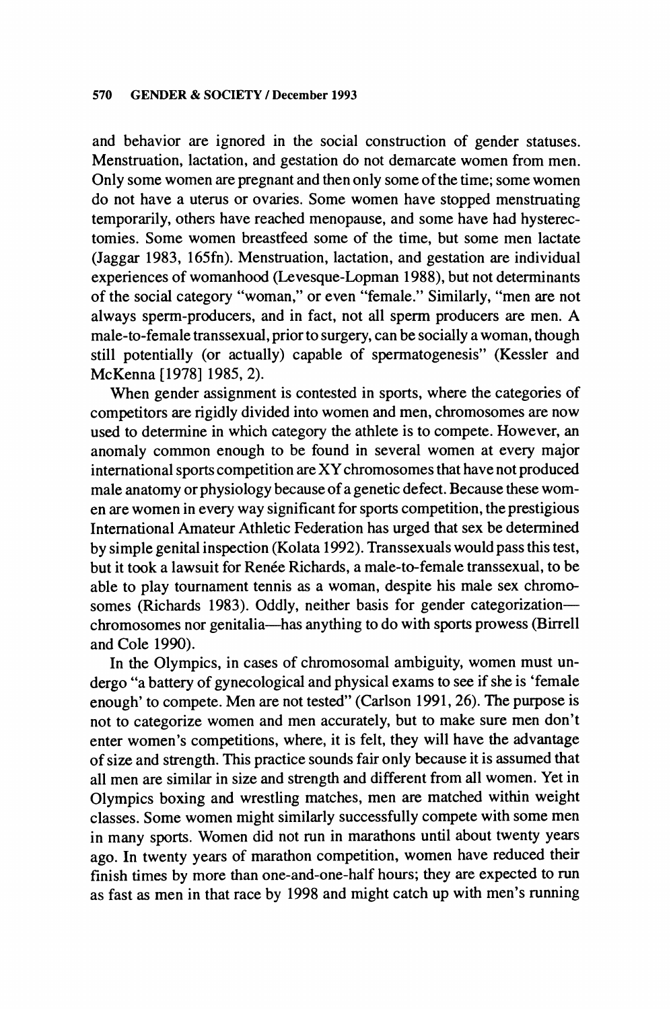**and behavior are ignored in the social construction of gender statuses. Menstruation, lactation, and gestation do not demarcate women from men. Only some women are pregnant and then only some of the time; some women do not have a uterus or ovaries. Some women have stopped menstruating temporarily, others have reached menopause, and some have had hysterectomies. Some women breastfeed some of the time, but some men lactate (Jaggar 1983, 165fn). Menstruation, lactation, and gestation are individual experiences of womanhood (Levesque-Lopman 1988), but not determinants of the social category "woman," or even "female." Similarly, "men are not always sperm-producers, and in fact, not all sperm producers are men. A male-to-female transsexual, prior to surgery, can be socially a woman, though still potentially (or actually) capable of spermatogenesis" (Kessler and McKenna [1978] 1985, 2).** 

**When gender assignment is contested in sports, where the categories of competitors are rigidly divided into women and men, chromosomes are now used to determine in which category the athlete is to compete. However, an anomaly common enough to be found in several women at every major international sports competition are XY chromosomes that have not produced male anatomy or physiology because of a genetic defect. Because these women are women in every way significant for sports competition, the prestigious International Amateur Athletic Federation has urged that sex be determined by simple genital inspection (Kolata 1992). Transsexuals would pass this test,**  but it took a lawsuit for Renée Richards, a male-to-female transsexual, to be **able to play tournament tennis as a woman, despite his male sex chromo**somes (Richards 1983). Oddly, neither basis for gender categorization**chromosomes nor genitalia-has anything to do with sports prowess (Birrell and Cole 1990).** 

**In the Olympics, in cases of chromosomal ambiguity, women must undergo "a battery of gynecological and physical exams to see if she is 'female enough' to compete. Men are not tested" (Carlson 1991, 26). The purpose is not to categorize women and men accurately, but to make sure men don't enter women's competitions, where, it is felt, they will have the advantage of size and strength. This practice sounds fair only because it is assumed that all men are similar in size and strength and different from all women. Yet in Olympics boxing and wrestling matches, men are matched within weight classes. Some women might similarly successfully compete with some men in many sports. Women did not run in marathons until about twenty years ago. In twenty years of marathon competition, women have reduced their finish times by more than one-and-one-half hours; they are expected to run as fast as men in that race by 1998 and might catch up with men's running**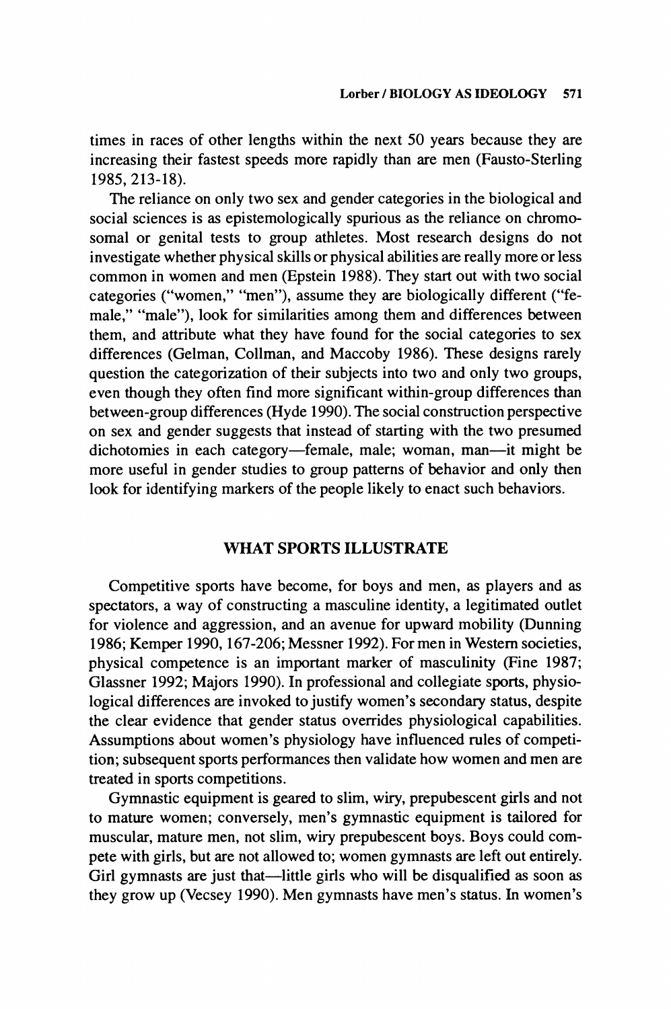**times in races of other lengths within the next 50 years because they are increasing their fastest speeds more rapidly than are men (Fausto-Sterling 1985, 213-18).** 

**The reliance on only two sex and gender categories in the biological and social sciences is as epistemologically spurious as the reliance on chromosomal or genital tests to group athletes. Most research designs do not investigate whether physical skills or physical abilities are really more or less common in women and men (Epstein 1988). They start out with two social categories ("women," "men"), assume they are biologically different ("female," "male"), look for similarities among them and differences between them, and attribute what they have found for the social categories to sex differences (Gelman, Collman, and Maccoby 1986). These designs rarely question the categorization of their subjects into two and only two groups, even though they often find more significant within-group differences than between-group differences (Hyde 1990). The social construction perspective on sex and gender suggests that instead of starting with the two presumed**  dichotomies in each category-female, male; woman, man-it might be **more useful in gender studies to group patterns of behavior and only then look for identifying markers of the people likely to enact such behaviors.** 

## **WHAT SPORTS ILLUSTRATE**

**Competitive sports have become, for boys and men, as players and as spectators, a way of constructing a masculine identity, a legitimated outlet for violence and aggression, and an avenue for upward mobility (Dunning 1986; Kemper 1990, 167-206; Messner 1992). For men in Western societies, physical competence is an important marker of masculinity (Fine 1987; Glassner 1992; Majors 1990). In professional and collegiate sports, physiological differences are invoked to justify women's secondary status, despite the clear evidence that gender status overrides physiological capabilities. Assumptions about women's physiology have influenced rules of competition; subsequent sports performances then validate how women and men are treated in sports competitions.** 

**Gymnastic equipment is geared to slim, wiry, prepubescent girls and not to mature women; conversely, men's gymnastic equipment is tailored for muscular, mature men, not slim, wiry prepubescent boys. Boys could compete with girls, but are not allowed to; women gymnasts are left out entirely.**  Girl gymnasts are just that—little girls who will be disqualified as soon as **they grow up (Vecsey 1990). Men gymnasts have men's status. In women's**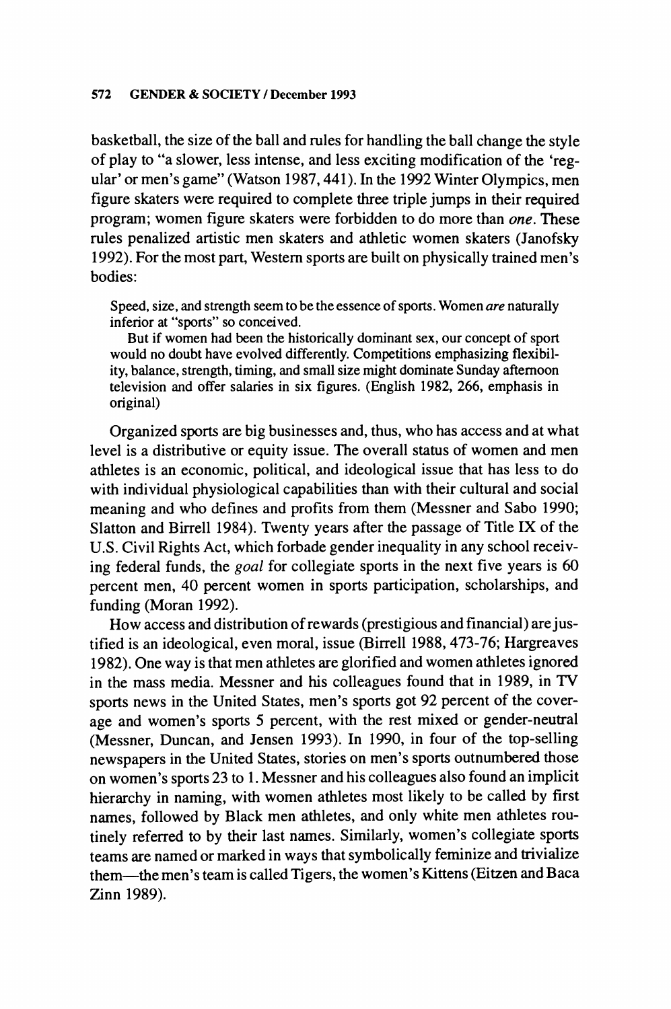**basketball, the size of the ball and rules for handling the ball change the style of play to "a slower, less intense, and less exciting modification of the 'regular' or men's game" (Watson 1987,441). In the 1992 Winter Olympics, men figure skaters were required to complete three triple jumps in their required program; women figure skaters were forbidden to do more than one. These rules penalized artistic men skaters and athletic women skaters (Janofsky 1992). For the most part, Western sports are built on physically trained men's bodies:** 

**Speed, size, and strength seem to be the essence of sports. Women are naturally inferior at "sports" so conceived.** 

**But if women had been the historically dominant sex, our concept of sport would no doubt have evolved differently. Competitions emphasizing flexibility, balance, strength, timing, and small size might dominate Sunday afternoon television and offer salaries in six figures. (English 1982, 266, emphasis in original)** 

**Organized sports are big businesses and, thus, who has access and at what level is a distributive or equity issue. The overall status of women and men athletes is an economic, political, and ideological issue that has less to do with individual physiological capabilities than with their cultural and social meaning and who defines and profits from them (Messner and Sabo 1990; Slatton and Birrell 1984). Twenty years after the passage of Title IX of the U.S. Civil Rights Act, which forbade gender inequality in any school receiving federal funds, the goal for collegiate sports in the next five years is 60 percent men, 40 percent women in sports participation, scholarships, and funding (Moran 1992).** 

**How access and distribution of rewards (prestigious and financial) are justified is an ideological, even moral, issue (Birrell 1988, 473-76; Hargreaves 1982). One way is that men athletes are glorified and women athletes ignored in the mass media. Messner and his colleagues found that in 1989, in TV sports news in the United States, men's sports got 92 percent of the coverage and women's sports 5 percent, with the rest mixed or gender-neutral (Messner, Duncan, and Jensen 1993). In 1990, in four of the top-selling newspapers in the United States, stories on men's sports outnumbered those on women's sports 23 to 1. Messner and his colleagues also found an implicit hierarchy in naming, with women athletes most likely to be called by first names, followed by Black men athletes, and only white men athletes routinely referred to by their last names. Similarly, women's collegiate sports teams are named or marked in ways that symbolically feminize and trivialize them-the men's team is called Tigers, the women's Kittens (Eitzen and Baca Zinn 1989).**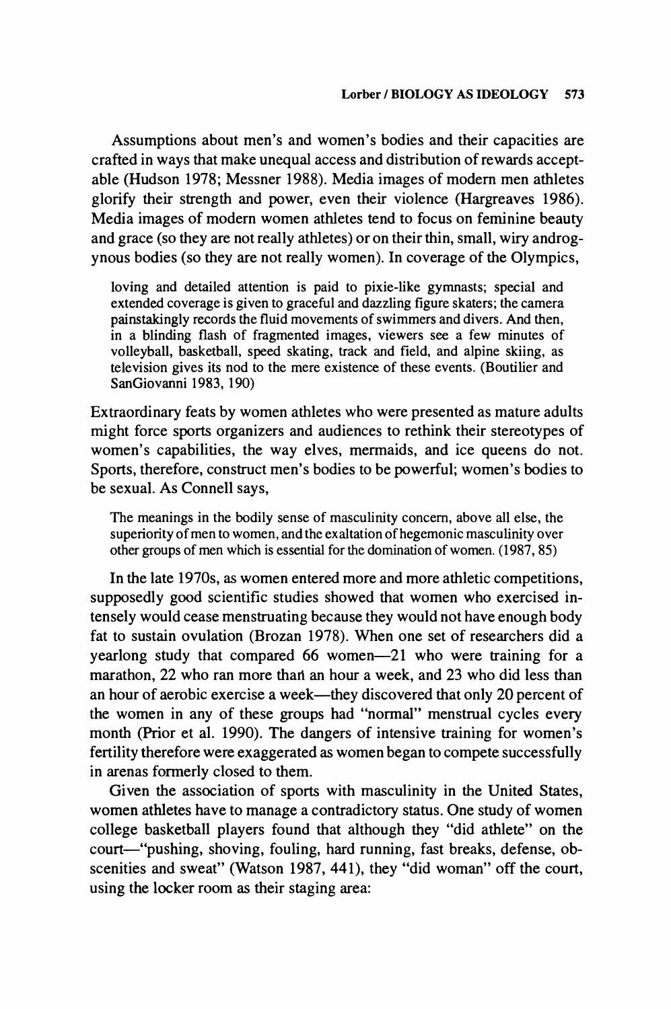**Assumptions about men's and women's bodies and their capacities are crafted in ways that make unequal access and distribution of rewards acceptable (Hudson 1978; Messner 1988). Media images of modern men athletes glorify their strength and power, even their violence (Hargreaves 1986). Media images of modern women athletes tend to focus on feminine beauty and grace (so they are not really athletes) or on their thin, small, wiry androgynous bodies (so they are not really women). In coverage of the Olympics,** 

**loving and detailed attention is paid to pixie-like gymnasts; special and extended coverage is given to graceful and dazzling figure skaters; the camera painstakingly records the fluid movements of swimmers and divers. And then, in a blinding flash of fragmented images, viewers see a few minutes of volleyball, basketball, speed skating, track and field, and alpine skiing, as television gives its nod to the mere existence of these events. (Boutilier and SanGiovanni 1983, 190)** 

**Extraordinary feats by women athletes who were presented as mature adults might force sports organizers and audiences to rethink their stereotypes of women's capabilities, the way elves, mermaids, and ice queens do not. Sports, therefore, construct men's bodies to be powerful; women's bodies to be sexual. As Connell says,** 

**The meanings in the bodily sense of masculinity concern, above all else, the superiority of men to women, and the exaltation of hegemonic masculinity over other groups of men which is essential for the domination of women. (1987, 85)** 

**In the late 1970s, as women entered more and more athletic competitions, supposedly good scientific studies showed that women who exercised intensely would cease menstruating because they would not have enough body fat to sustain ovulation (Brozan 1978). When one set of researchers did a yearlong study that compared 66 women-21 who were training for a marathon, 22 who ran more thari an hour a week, and 23 who did less than**  an hour of aerobic exercise a week—they discovered that only 20 percent of **the women in any of these groups had "normal" menstrual cycles every month (Prior et al. 1990). The dangers of intensive training for women's fertility therefore were exaggerated as women began to compete successfully in arenas formerly closed to them.** 

**Given the association of sports with masculinity in the United States, women athletes have to manage a contradictory status. One study of women college basketball players found that although they "did athlete" on the**  court—"pushing, shoving, fouling, hard running, fast breaks, defense, ob**scenities and sweat" (Watson 1987, 441), they "did woman" off the court, using the locker room as their staging area:**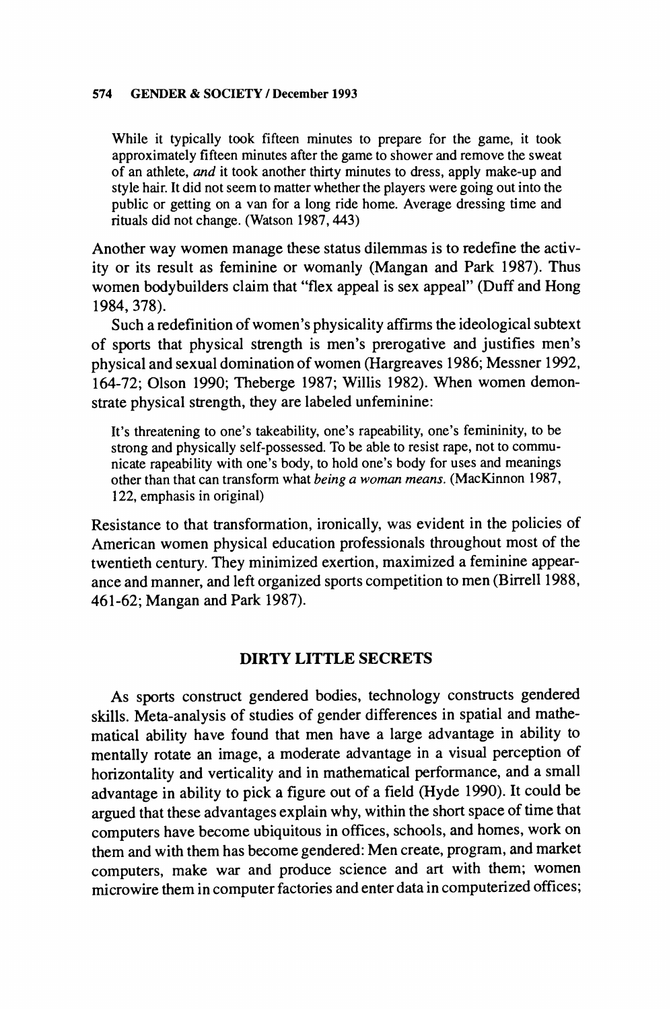**While it typically took fifteen minutes to prepare for the game, it took approximately fifteen minutes after the game to shower and remove the sweat of an athlete, and it took another thirty minutes to dress, apply make-up and style hair. It did not seem to matter whether the players were going out into the public or getting on a van for a long ride home. Average dressing time and rituals did not change. (Watson 1987, 443)** 

**Another way women manage these status dilemmas is to redefine the activity or its result as feminine or womanly (Mangan and Park 1987). Thus women bodybuilders claim that "flex appeal is sex appeal" (Duff and Hong 1984, 378).** 

**Such a redefinition of women's physicality affirms the ideological subtext of sports that physical strength is men's prerogative and justifies men's physical and sexual domination of women (Hargreaves 1986; Messner 1992, 164-72; Olson 1990; Theberge 1987; Willis 1982). When women demonstrate physical strength, they are labeled unfeminine:** 

**It's threatening to one's takeability, one's rapeability, one's femininity, to be strong and physically self-possessed. To be able to resist rape, not to communicate rapeability with one's body, to hold one's body for uses and meanings other than that can transform what being a woman means. (MacKinnon 1987, 122, emphasis in original)** 

**Resistance to that transformation, ironically, was evident in the policies of American women physical education professionals throughout most of the twentieth century. They minimized exertion, maximized a feminine appearance and manner, and left organized sports competition to men (Birrell 1988, 461-62; Mangan and Park 1987).** 

## **DIRTY LITTLE SECRETS**

**As sports construct gendered bodies, technology constructs gendered skills. Meta-analysis of studies of gender differences in spatial and mathematical ability have found that men have a large advantage in ability to mentally rotate an image, a moderate advantage in a visual perception of horizontality and verticality and in mathematical performance, and a small advantage in ability to pick a figure out of a field (Hyde 1990). It could be argued that these advantages explain why, within the short space of time that computers have become ubiquitous in offices, schools, and homes, work on them and with them has become gendered: Men create, program, and market computers, make war and produce science and art with them; women microwire them in computer factories and enter data in computerized offices;**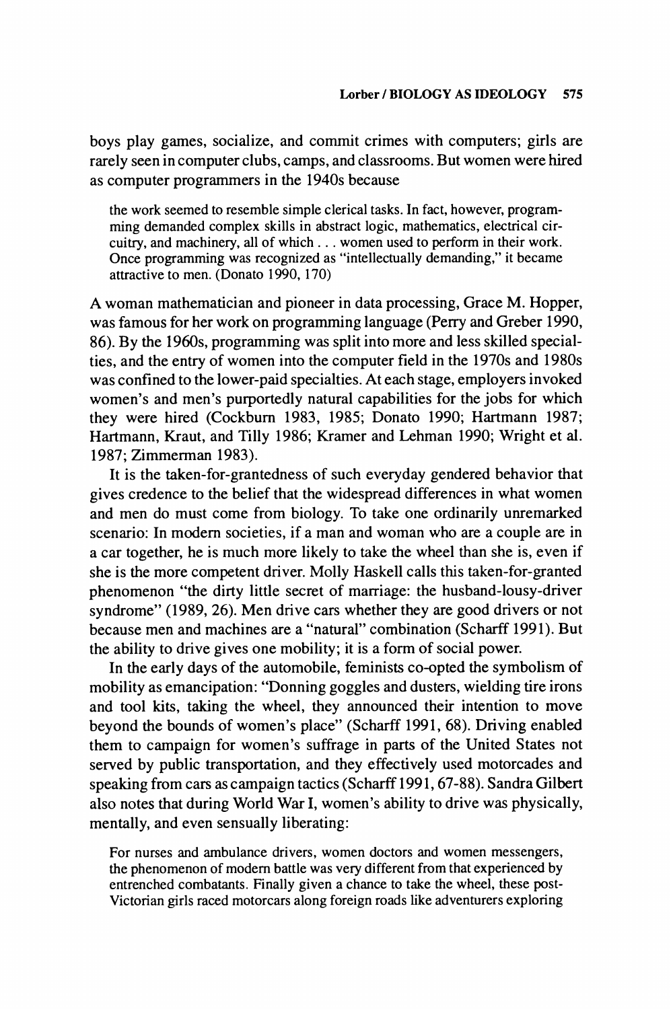**boys play games, socialize, and commit crimes with computers; girls are rarely seen in computer clubs, camps, and classrooms. But women were hired as computer programmers in the 1940s because** 

**the work seemed to resemble simple clerical tasks. In fact, however, programming demanded complex skills in abstract logic, mathematics, electrical circuitry, and machinery, all of which ... women used to perform in their work. Once programming was recognized as "intellectually demanding," it became attractive to men. (Donato 1990, 170)** 

**A woman mathematician and pioneer in data processing, Grace M. Hopper, was famous for her work on programming language (Perry and Greber 1990, 86). By the 1960s, programming was split into more and less skilled specialties, and the entry of women into the computer field in the 1970s and 1980s was confined to the lower-paid specialties. At each stage, employers invoked women's and men's purportedly natural capabilities for the jobs for which**  they were hired (Cockburn 1983, 1985; Donato 1990; Hartmann 1987; **Hartmann, Kraut, and Tilly 1986; Kramer and Lehman 1990; Wright et al. 1987; Zimmerman 1983).** 

**It is the taken-for-grantedness of such everyday gendered behavior that gives credence to the belief that the widespread differences in what women and men do must come from biology. To take one ordinarily unremarked scenario: In modern societies, if a man and woman who are a couple are in a car together, he is much more likely to take the wheel than she is, even if she is the more competent driver. Molly Haskell calls this taken-for-granted phenomenon "the dirty little secret of marriage: the husband-lousy-driver syndrome" (1989, 26). Men drive cars whether they are good drivers or not because men and machines are a "natural" combination (Scharff 1991). But the ability to drive gives one mobility; it is a form of social power.** 

**In the early days of the automobile, feminists co-opted the symbolism of mobility as emancipation: "Donning goggles and dusters, wielding tire irons and tool kits, taking the wheel, they announced their intention to move beyond the bounds of women's place" (Scharff 1991, 68). Driving enabled them to campaign for women's suffrage in parts of the United States not served by public transportation, and they effectively used motorcades and speaking from cars as campaign tactics (Scharff 1991, 67-88). Sandra Gilbert also notes that during World War I, women's ability to drive was physically, mentally, and even sensually liberating:** 

**For nurses and ambulance drivers, women doctors and women messengers, the phenomenon of modem battle was very different from that experienced by entrenched combatants. Finally given a chance to take the wheel, these post-Victorian girls raced motorcars along foreign roads like adventurers exploring**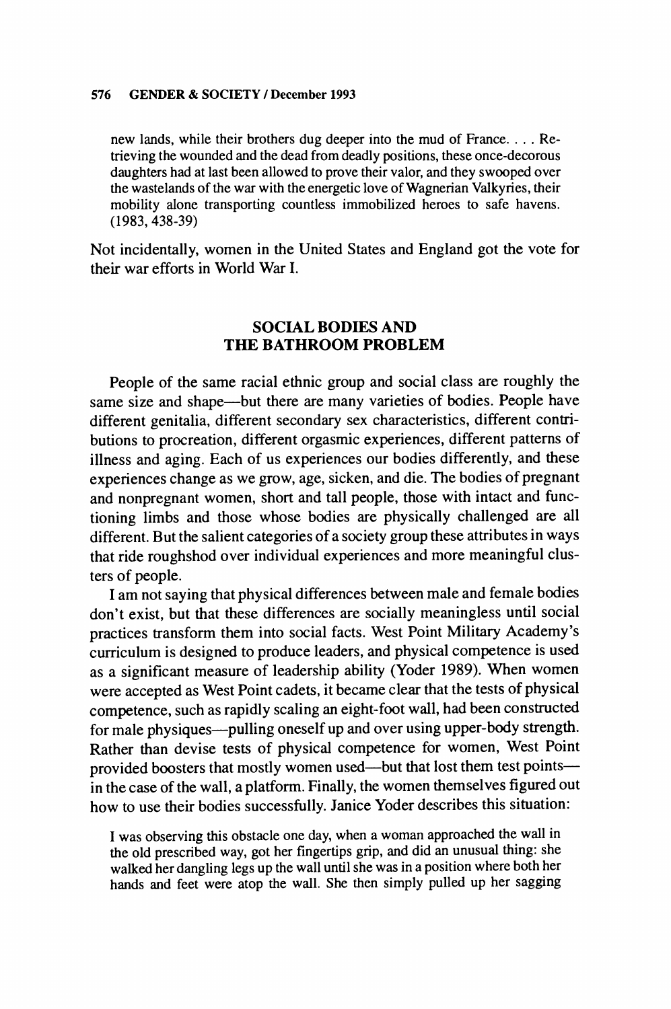**new lands, while their brothers dug deeper into the mud of France.... Retrieving the wounded and the dead from deadly positions, these once-decorous daughters had at last been allowed to prove their valor, and they swooped over the wastelands of the war with the energetic love of Wagnerian Valkyries, their mobility alone transporting countless immobilized heroes to safe havens. (1983, 438-39)** 

**Not incidentally, women in the United States and England got the vote for their war efforts in World War I.** 

## **SOCIAL BODIES AND THE BATHROOM PROBLEM**

**People of the same racial ethnic group and social class are roughly the same size and shape-but there are many varieties of bodies. People have different genitalia, different secondary sex characteristics, different contributions to procreation, different orgasmic experiences, different patterns of illness and aging. Each of us experiences our bodies differently, and these experiences change as we grow, age, sicken, and die. The bodies of pregnant and nonpregnant women, short and tall people, those with intact and functioning limbs and those whose bodies are physically challenged are all different. But the salient categories of a society group these attributes in ways that ride roughshod over individual experiences and more meaningful clusters of people.** 

**I am not saying that physical differences between male and female bodies don't exist, but that these differences are socially meaningless until social practices transform them into social facts. West Point Military Academy's curriculum is designed to produce leaders, and physical competence is used as a significant measure of leadership ability (Yoder 1989). When women were accepted as West Point cadets, it became clear that the tests of physical competence, such as rapidly scaling an eight-foot wall, had been constructed for male physiques-pulling oneself up and over using upper-body strength. Rather than devise tests of physical competence for women, West Point**  provided boosters that mostly women used—but that lost them test points **in the case of the wall, a platform. Finally, the women themselves figured out how to use their bodies successfully. Janice Yoder describes this situation:** 

**I was observing this obstacle one day, when a woman approached the wall in the old prescribed way, got her fingertips grip, and did an unusual thing: she walked her dangling legs up the wall until she was in a position where both her hands and feet were atop the wall. She then simply pulled up her sagging**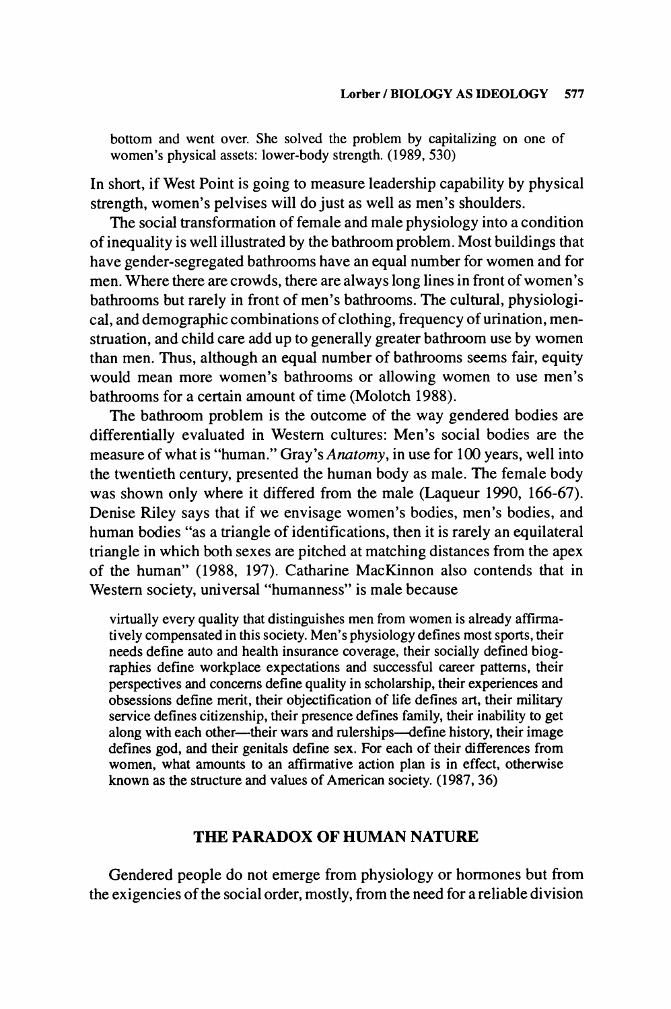**bottom and went over. She solved the problem by capitalizing on one of women's physical assets: lower-body strength. (1989, 530)** 

**In short, if West Point is going to measure leadership capability by physical strength, women's pelvises will do just as well as men's shoulders.** 

**The social transformation of female and male physiology into a condition of inequality is well illustrated by the bathroom problem. Most buildings that have gender-segregated bathrooms have an equal number for women and for men. Where there are crowds, there are always long lines in front of women's bathrooms but rarely in front of men's bathrooms. The cultural, physiological, and demographic combinations of clothing, frequency of urination, menstruation, and child care add up to generally greater bathroom use by women than men. Thus, although an equal number of bathrooms seems fair, equity would mean more women's bathrooms or allowing women to use men's bathrooms for a certain amount of time (Molotch 1988).** 

**The bathroom problem is the outcome of the way gendered bodies are differentially evaluated in Western cultures: Men's social bodies are the measure of what is "human." Gray's Anatomy, in use for 100 years, well into the twentieth century, presented the human body as male. The female body was shown only where it differed from the male (Laqueur 1990, 166-67). Denise Riley says that if we envisage women's bodies, men's bodies, and human bodies "as a triangle of identifications, then it is rarely an equilateral triangle in which both sexes are pitched at matching distances from the apex of the human" (1988, 197). Catharine MacKinnon also contends that in Western society, universal "humanness" is male because** 

**virtually every quality that distinguishes men from women is already affirmatively compensated in this society. Men's physiology defines most sports, their needs define auto and health insurance coverage, their socially defined biog**raphies define workplace expectations and successful career patterns, their **perspectives and concerns define quality in scholarship, their experiences and obsessions define merit, their objectification of life defines art, their military service defines citizenship, their presence defines family, their inability to get along with each other-their wars and rulerships-define history, their image defines god, and their genitals define sex. For each of their differences from women, what amounts to an affirmative action plan is in effect, otherwise known as the structure and values of American society. (1987, 36)** 

## **THE PARADOX OF HUMAN NATURE**

**Gendered people do not emerge from physiology or hormones but from the exigencies of the social order, mostly, from the need for a reliable division**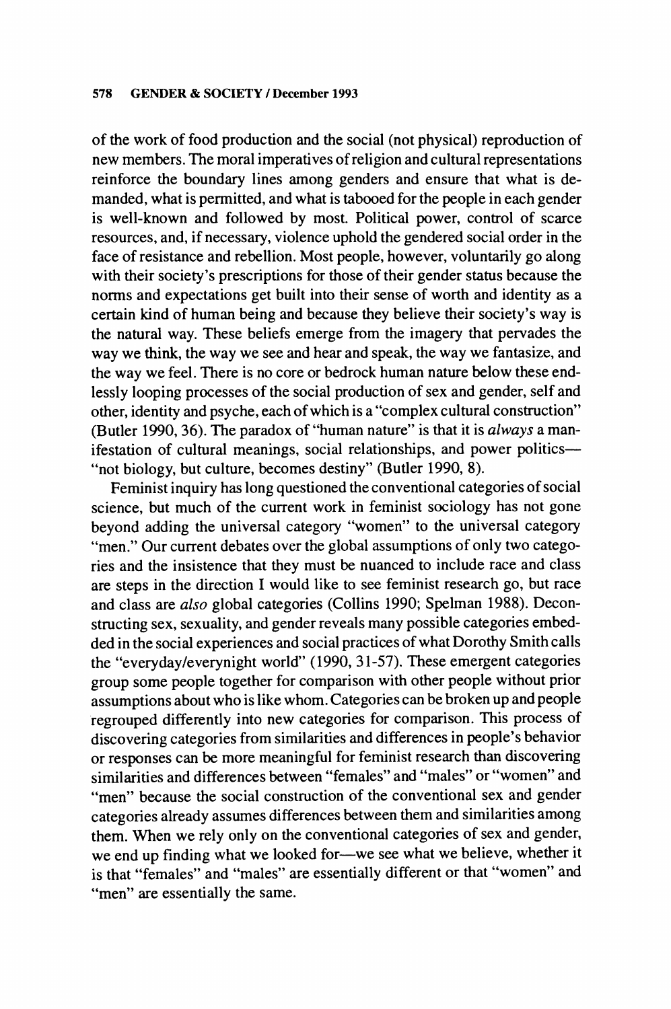**of the work of food production and the social (not physical) reproduction of new members. The moral imperatives of religion and cultural representations reinforce the boundary lines among genders and ensure that what is demanded, what is permitted, and what is tabooed for the people in each gender is well-known and followed by most. Political power, control of scarce resources, and, if necessary, violence uphold the gendered social order in the face of resistance and rebellion. Most people, however, voluntarily go along with their society's prescriptions for those of their gender status because the norms and expectations get built into their sense of worth and identity as a certain kind of human being and because they believe their society's way is the natural way. These beliefs emerge from the imagery that pervades the way we think, the way we see and hear and speak, the way we fantasize, and the way we feel. There is no core or bedrock human nature below these endlessly looping processes of the social production of sex and gender, self and other, identity and psyche, each of which is a "complex cultural construction" (Butler 1990, 36). The paradox of "human nature" is that it is always a man**ifestation of cultural meanings, social relationships, and power politics-**"not biology, but culture, becomes destiny" (Butler 1990, 8).** 

**Feminist inquiry has long questioned the conventional categories of social science, but much of the current work in feminist sociology has not gone beyond adding the universal category "women" to the universal category "men." Our current debates over the global assumptions of only two categories and the insistence that they must be nuanced to include race and class are steps in the direction I would like to see feminist research go, but race and class are also global categories (Collins 1990; Spelman 1988). Deconstructing sex, sexuality, and gender reveals many possible categories embedded in the social experiences and social practices of what Dorothy Smith calls the "everyday/everynight world" (1990, 31-57). These emergent categories group some people together for comparison with other people without prior assumptions about who is like whom. Categories can be broken up and people regrouped differently into new categories for comparison. This process of discovering categories from similarities and differences in people's behavior or responses can be more meaningful for feminist research than discovering similarities and differences between "females" and "males" or "women" and "men" because the social construction of the conventional sex and gender categories already assumes differences between them and similarities among them. When we rely only on the conventional categories of sex and gender,**  we end up finding what we looked for-we see what we believe, whether it **is that "females" and "males" are essentially different or that "women" and "men" are essentially the same.**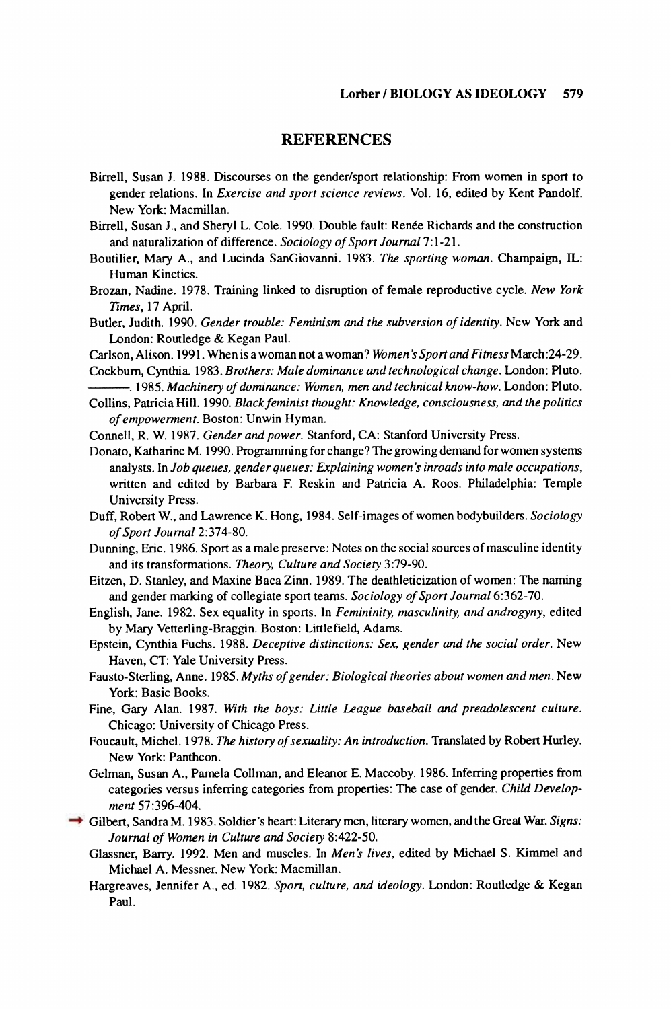## **REFERENCES**

- **Birrell, Susan J. 1988. Discourses on the gender/sport relationship: From women in sport to gender relations. In Exercise and sport science reviews. Vol. 16, edited by Kent Pandolf. New York: Macmillan.**
- Birrell, Susan J., and Sheryl L. Cole. 1990. Double fault: Renée Richards and the construction **and naturalization of difference. Sociology of Sport Journal 7:1-21.**
- **Boutilier, Mary A., and Lucinda SanGiovanni. 1983. The sporting woman. Champaign, IL: Human Kinetics.**
- **Brozan, Nadine. 1978. Training linked to disruption of female reproductive cycle. New York Times, 17 April.**
- **Butler, Judith. 1990. Gender trouble: Feminism and the subversion of identity. New York and London: Routledge & Kegan Paul.**
- **Carlson, Alison. 1991. When is a woman not a woman? Women's Sport and Fitness March:24-29.**

**Cockbur, Cynthia. 1983. Brothers: Male dominance and technological change. London: Pluto. . 1985. Machinery of dominance: Women, men and technical know-how. London: Pluto.** 

Collins, Patricia Hill. 1990. Black feminist thought: Knowledge, consciousness, and the politics **of empowerment. Boston: Unwin Hyman.** 

**Connell, R. W. 1987. Gender and power. Stanford, CA: Stanford University Press.** 

- **Donato, Katharine M. 1990. Programming for change? The growing demand for women systems analysts. In Job queues, gender queues: Explaining women's inroads into male occupations, written and edited by Barbara F. Reskin and Patricia A. Roos. Philadelphia: Temple University Press.**
- **Duff, Robert W., and Lawrence K. Hong, 1984. Self-images of women bodybuilders. Sociology of Sport Journal 2:374-80.**
- **Dunning, Eric. 1986. Sport as a male preserve: Notes on the social sources of masculine identity and its transformations. Theory, Culture and Society 3:79-90.**
- **Eitzen, D. Stanley, and Maxine Baca Zinn. 1989. The deathleticization of women: The naming and gender marking of collegiate sport teams. Sociology of Sport Journal 6:362-70.**
- **English, Jane. 1982. Sex equality in sports. In Femininity, masculinity, and androgyny, edited by Mary Vetterling-Braggin. Boston: Littlefield, Adams.**
- **Epstein, Cynthia Fuchs. 1988. Deceptive distinctions: Sex, gender and the social order. New Haven, CT: Yale University Press.**
- **Fausto-Sterling, Anne. 1985. Myths of gender: Biological theories about women and men. New York: Basic Books.**
- Fine, Gary Alan. 1987. With the boys: Little League baseball and preadolescent culture. **Chicago: University of Chicago Press.**
- **Foucault, Michel. 1978. The history of sexuality: An introduction. Translated by Robert Hurley. New York: Pantheon.**
- **Gelman, Susan A., Pamela Collman, and Eleanor E. Maccoby. 1986. Inferring properties from categories versus inferring categories from properties: The case of gender. Child Development 57:396-404.**
- **Gilbert, SandraM. 1983. Soldier's heart: Literary men, literary women, and the Great War. Signs: Journal of Women in Culture and Society 8:422-50.** 
	- **Glassner, Barry. 1992. Men and muscles. In Men's lives, edited by Michael S. Kimmel and Michael A. Messner. New York: Macmillan.**
	- **Hargreaves, Jennifer A., ed. 1982. Sport, culture, and ideology. London: Routledge & Kegan Paul.**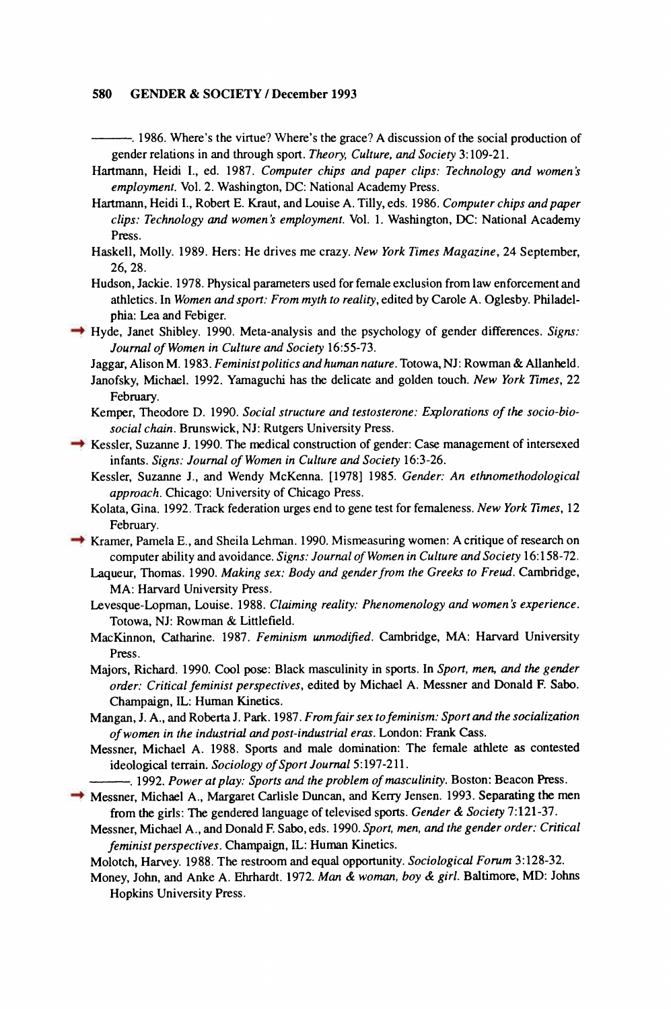**. 1986. Where's the virtue? Where's the grace? A discussion of the social production of gender relations in and through sport. Theory, Culture, and Society 3:109-21.** 

- **Hartmann, Heidi I., ed. 1987. Computer chips and paper clips: Technology and women's employment. Vol. 2. Washington, DC: National Academy Press.**
- **Hartmann, Heidi I., Robert E. Kraut, and Louise A. Tilly, eds. 1986. Computer chips andpaper clips: Technology and women's employment. Vol. 1. Washington, DC: National Academy Press.**
- **Haskell, Molly. 1989. Hers: He drives me crazy. New York Times Magazine, 24 September, 26, 28.**
- **Hudson, Jackie. 1978. Physical parameters used for female exclusion from law enforcement and athletics. In Women and sport: From myth to reality, edited by Carole A. Oglesby. Philadelphia: Lea and Febiger.**
- **Hyde, Janet Shibley. 1990. Meta-analysis and the psychology of gender differences. Signs: Journal of Women in Culture and Society 16:55-73.**

Jaggar, Alison M. 1983. Feminist politics and human nature. Totowa, NJ: Rowman & Allanheld.

- **Janofsky, Michael. 1992. Yamaguchi has the delicate and golden touch. New York Times, 22 February.**
- **Kemper, Theodore D. 1990. Social structure and testosterone: Explorations of the socio-biosocial chain. Brunswick, NJ: Rutgers University Press.**
- **Kessler, Suzanne J. 1990. The medical construction of gender: Case management of intersexed infants. Signs: Journal of Women in Culture and Society 16:3-26.** 
	- **Kessler, Suzanne J., and Wendy McKenna. [1978] 1985. Gender: An ethnomethodological approach. Chicago: University of Chicago Press.**
	- **Kolata, Gina. 1992. Track federation urges end to gene test for femaleness. New York Times, 12 February.**
- **Kramer, Pamela E., and Sheila Lehman. 1990. Mismeasuring women: A critique of research on computer ability and avoidance. Signs: Journal of Women in Culture and Society 16:158-72.** 
	- Laqueur, Thomas. 1990. Making sex: Body and gender from the Greeks to Freud. Cambridge, **MA: Harvard University Press.**
	- **Levesque-Lopman, Louise. 1988. Claiming reality: Phenomenology and women's experience. Totowa, NJ: Rowman & Littlefield.**
	- **MacKinnon, Catharine. 1987. Feminism unmodified. Cambridge, MA: Harvard University Press.**
	- **Majors, Richard. 1990. Cool pose: Black masculinity in sports. In Sport, men, and the gender order: Critical feminist perspectives, edited by Michael A. Messner and Donald F. Sabo. Champaign, IL: Human Kinetics.**
	- **Mangan, J. A., and Roberta J. Park. 1987. Fromfair sex to feminism: Sport and the socialization of women in the industrial and post-industrial eras. London: Frank Cass.**
	- **Messner, Michael A. 1988. Sports and male domination: The female athlete as contested ideological terrain. Sociology of Sport Journal 5:197-211.** 
		- **. 1992. Power at play: Sports and the problem of masculinity. Boston: Beacon Press.**
- **Messner, Michael A., Margaret Carlisle Duncan, and Kerry Jensen. 1993. Separating the men from the girls: The gendered language of televised sports. Gender & Society 7:121-37.** 
	- **Messner, Michael A., and Donald F. Sabo, eds. 1990. Sport, men, and the gender order: Critical feminist perspectives. Champaign, IL: Human Kinetics.**
	- **Molotch, Harvey. 1988. The restroom and equal opportunity. Sociological Forum 3:128-32.**
	- **Money, John, and Anke A. Ehrhardt. 1972. Man & woman, boy & girl. Baltimore, MD: Johns Hopkins University Press.**